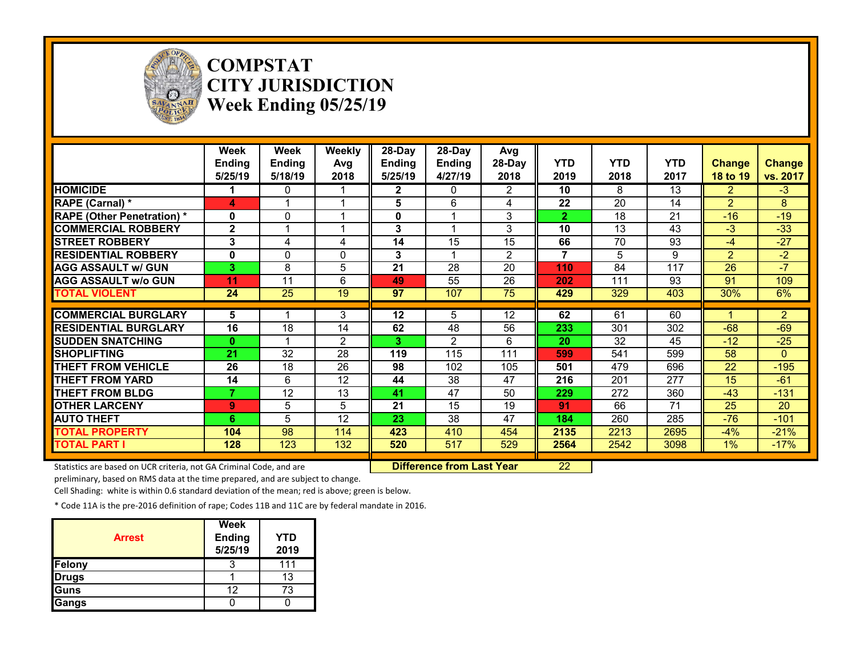

## **COMPSTAT CITY JURISDICTION Week Ending 05/25/19**

|                                   | Week<br><b>Ending</b><br>5/25/19 | Week<br>Ending<br>5/18/19 | Weekly<br>Avg<br>2018 | $28-Day$<br>Ending<br>5/25/19 | $28-Day$<br><b>Ending</b><br>4/27/19 | Avg<br>28-Day<br>2018 | <b>YTD</b><br>2019 | <b>YTD</b><br>2018 | <b>YTD</b><br>2017 | <b>Change</b><br><b>18 to 19</b> | <b>Change</b><br>vs. 2017 |
|-----------------------------------|----------------------------------|---------------------------|-----------------------|-------------------------------|--------------------------------------|-----------------------|--------------------|--------------------|--------------------|----------------------------------|---------------------------|
| <b>HOMICIDE</b>                   |                                  | 0                         |                       | 2                             | $\mathbf{0}$                         | $\overline{2}$        | 10                 | 8                  | 13                 | $\overline{2}$                   | $-3$                      |
| <b>RAPE (Carnal)</b> *            | 4                                |                           |                       | 5                             | 6                                    | 4                     | 22                 | 20                 | 14                 | $\overline{2}$                   | 8                         |
| <b>RAPE (Other Penetration)</b> * | $\bf{0}$                         | 0                         |                       | 0                             |                                      | 3                     | 2                  | 18                 | 21                 | $-16$                            | $-19$                     |
| <b>COMMERCIAL ROBBERY</b>         | $\mathbf{2}$                     |                           |                       | 3                             |                                      | 3                     | 10                 | 13                 | 43                 | $-3$                             | $-33$                     |
| <b>ISTREET ROBBERY</b>            | 3                                | 4                         | 4                     | 14                            | 15                                   | 15                    | 66                 | 70                 | 93                 | $-4$                             | $-27$                     |
| <b>RESIDENTIAL ROBBERY</b>        | 0                                | 0                         | $\Omega$              | 3                             |                                      | $\overline{2}$        | 7                  | 5                  | 9                  | $\overline{2}$                   | $-2$                      |
| <b>AGG ASSAULT w/ GUN</b>         | 3                                | 8                         | 5                     | 21                            | 28                                   | 20                    | 110                | 84                 | 117                | 26                               | $-7$                      |
| <b>AGG ASSAULT w/o GUN</b>        | 11                               | 11                        | 6                     | 49                            | 55                                   | 26                    | 202                | 111                | 93                 | 91                               | 109                       |
| <b>TOTAL VIOLENT</b>              | 24                               | 25                        | 19                    | 97                            | 107                                  | 75                    | 429                | 329                | 403                | 30%                              | 6%                        |
|                                   |                                  |                           |                       |                               |                                      |                       |                    |                    |                    |                                  |                           |
| <b>COMMERCIAL BURGLARY</b>        | 5                                |                           | 3                     | 12                            | 5                                    | 12                    | 62                 | 61                 | 60                 |                                  | $\overline{2}$            |
| <b>RESIDENTIAL BURGLARY</b>       | 16                               | 18                        | 14                    | 62                            | 48                                   | 56                    | 233                | 301                | 302                | $-68$                            | $-69$                     |
| <b>ISUDDEN SNATCHING</b>          | $\bf{0}$                         |                           | 2                     | 3                             | $\mathbf{2}$                         | 6                     | 20                 | 32                 | 45                 | $-12$                            | $-25$                     |
| <b>SHOPLIFTING</b>                | 21                               | 32                        | 28                    | 119                           | 115                                  | 111                   | 599                | 541                | 599                | 58                               | $\Omega$                  |
| <b>THEFT FROM VEHICLE</b>         | 26                               | 18                        | 26                    | 98                            | 102                                  | 105                   | 501                | 479                | 696                | 22                               | $-195$                    |
| <b>THEFT FROM YARD</b>            | 14                               | 6                         | 12                    | 44                            | 38                                   | 47                    | 216                | 201                | 277                | 15                               | $-61$                     |
| <b>THEFT FROM BLDG</b>            |                                  | 12                        | 13                    | 41                            | 47                                   | 50                    | 229                | 272                | 360                | $-43$                            | $-131$                    |
| <b>OTHER LARCENY</b>              | 9                                | 5                         | 5                     | 21                            | 15                                   | 19                    | 91                 | 66                 | 71                 | 25                               | 20                        |
| <b>AUTO THEFT</b>                 | 6                                | 5                         | 12                    | 23                            | 38                                   | 47                    | 184                | 260                | 285                | $-76$                            | $-101$                    |
| <b>TOTAL PROPERTY</b>             | 104                              | 98                        | 114                   | 423                           | 410                                  | 454                   | 2135               | 2213               | 2695               | $-4%$                            | $-21%$                    |
| <b>TOTAL PART I</b>               | 128                              | 123                       | 132                   | 520                           | 517                                  | 529                   | 2564               | 2542               | 3098               | $1\%$                            | $-17%$                    |

Statistics are based on UCR criteria, not GA Criminal Code, and are **Difference from Last Year** 22

preliminary, based on RMS data at the time prepared, and are subject to change.

Cell Shading: white is within 0.6 standard deviation of the mean; red is above; green is below.

| <b>Arrest</b> | <b>Week</b><br><b>Ending</b><br>5/25/19 | <b>YTD</b><br>2019 |
|---------------|-----------------------------------------|--------------------|
| <b>Felony</b> |                                         |                    |
| <b>Drugs</b>  |                                         | 13                 |
| Guns          | 12                                      | 73                 |
| Gangs         |                                         |                    |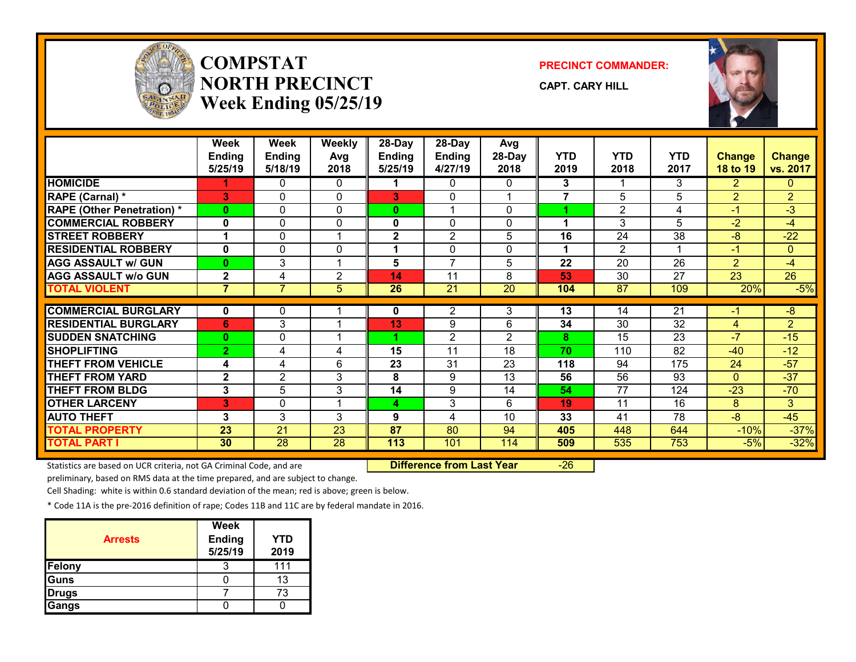

## **COMPSTATNORTH PRECINCTWeek Ending 05/25/19**

**PRECINCT COMMANDER:**

**CAPT. CARY HILL**



|                                   | <b>Week</b><br><b>Ending</b> | Week<br><b>Ending</b> | Weekly<br>Avg   | 28-Day<br><b>Ending</b> | 28-Day<br>Ending | Avg<br>28-Day   | <b>YTD</b>     | <b>YTD</b>      | <b>YTD</b>              | <b>Change</b>   | <b>Change</b>   |
|-----------------------------------|------------------------------|-----------------------|-----------------|-------------------------|------------------|-----------------|----------------|-----------------|-------------------------|-----------------|-----------------|
|                                   | 5/25/19                      | 5/18/19               | 2018            | 5/25/19                 | 4/27/19          | 2018            | 2019           | 2018            | 2017                    | <b>18 to 19</b> | vs. 2017        |
| <b>HOMICIDE</b>                   |                              | 0                     | 0               |                         | 0                | 0               | 3              |                 | 3                       | $\overline{2}$  | $\mathbf{0}$    |
| RAPE (Carnal) *                   | 3                            | 0                     | $\Omega$        | 3                       | 0                |                 | $\overline{7}$ | 5               | 5                       | $\overline{2}$  | $\overline{2}$  |
| <b>RAPE (Other Penetration) *</b> | $\bf{0}$                     | $\Omega$              | $\Omega$        | $\bf{0}$                |                  | 0               |                | $\overline{2}$  | 4                       | $-1$            | $\overline{3}$  |
| <b>COMMERCIAL ROBBERY</b>         | 0                            | 0                     | $\mathbf{0}$    | 0                       | 0                | 0               |                | 3               | 5                       | $-2$            | $-4$            |
| <b>STREET ROBBERY</b>             |                              | 0                     |                 | $\mathbf{2}$            | $\overline{c}$   | 5               | 16             | 24              | 38                      | $-8$            | $-22$           |
| <b>RESIDENTIAL ROBBERY</b>        | $\mathbf{0}$                 | 0                     | $\mathbf{0}$    | 1                       | 0                | 0               | 1              | $\overline{2}$  | $\overline{\mathbf{A}}$ | $-1$            | $\mathbf{0}$    |
| <b>AGG ASSAULT w/ GUN</b>         | $\bf{0}$                     | 3                     | -1              | 5                       | $\overline{7}$   | 5               | 22             | 20              | 26                      | $\overline{2}$  | -4              |
| <b>AGG ASSAULT w/o GUN</b>        | $\mathbf{2}$                 | 4                     | $\overline{2}$  | 14                      | 11               | 8               | 53             | $\overline{30}$ | $\overline{27}$         | $\overline{23}$ | $\overline{26}$ |
| <b>TOTAL VIOLENT</b>              | $\overline{7}$               | $\overline{7}$        | 5               | 26                      | $\overline{21}$  | $\overline{20}$ | 104            | $\overline{87}$ | 109                     | 20%             | $-5%$           |
|                                   |                              |                       |                 |                         |                  |                 |                |                 |                         |                 |                 |
| <b>COMMERCIAL BURGLARY</b>        | 0                            | 0                     |                 | 0                       | 2                | 3               | 13             | 14              | $\overline{21}$         | $-1$            | $-\frac{8}{3}$  |
| <b>RESIDENTIAL BURGLARY</b>       | 6                            | 3                     |                 | 13                      | 9                | 6               | 34             | 30              | $\overline{32}$         | 4               | $\overline{2}$  |
| <b>SUDDEN SNATCHING</b>           | $\mathbf{0}$                 | $\Omega$              |                 |                         | $\overline{2}$   | 2               | 8              | 15              | 23                      | $-7$            | $-15$           |
| <b>SHOPLIFTING</b>                | $\overline{2}$               | 4                     | 4               | 15                      | 11               | 18              | 70             | 110             | 82                      | $-40$           | $-12$           |
| <b>THEFT FROM VEHICLE</b>         | 4                            | 4                     | 6               | 23                      | 31               | 23              | 118            | 94              | 175                     | 24              | $-57$           |
| <b>THEFT FROM YARD</b>            | $\mathbf{2}$                 | $\overline{2}$        | 3               | 8                       | 9                | 13              | 56             | 56              | 93                      | $\Omega$        | $-37$           |
| <b>THEFT FROM BLDG</b>            | 3                            | 5                     | 3               | 14                      | 9                | 14              | 54             | 77              | 124                     | $-23$           | $-70$           |
| <b>OTHER LARCENY</b>              | 3                            | 0                     |                 | 4                       | 3                | 6               | 19             | 11              | 16                      | 8               | 3               |
| <b>AUTO THEFT</b>                 | 3                            | 3                     | 3               | 9                       | 4                | 10              | 33             | 41              | 78                      | $-8$            | $-45$           |
| <b>TOTAL PROPERTY</b>             | 23                           | 21                    | 23              | 87                      | 80               | 94              | 405            | 448             | 644                     | $-10%$          | $-37%$          |
| <b>TOTAL PART I</b>               | 30 <sup>°</sup>              | $\overline{28}$       | $\overline{28}$ | 113                     | 101              | 114             | 509            | 535             | 753                     | $-5%$           | $-32%$          |

Statistics are based on UCR criteria, not GA Criminal Code, and are **Difference from Last Year** -26

preliminary, based on RMS data at the time prepared, and are subject to change.

Cell Shading: white is within 0.6 standard deviation of the mean; red is above; green is below.

| <b>Arrests</b> | Week<br><b>Ending</b><br>5/25/19 | YTD<br>2019 |
|----------------|----------------------------------|-------------|
| Felony         |                                  | 111         |
| Guns           |                                  | 13          |
| <b>Drugs</b>   |                                  | 73          |
| Gangs          |                                  |             |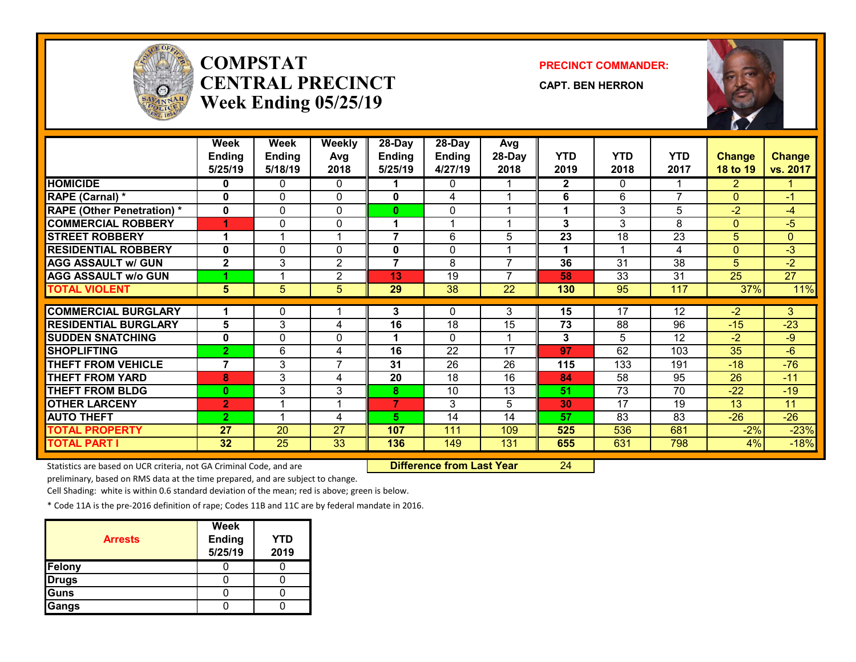

## **COMPSTATCENTRAL PRECINCTWeek Ending 05/25/19**

#### **PRECINCT COMMANDER:**

**CAPT. BEN HERRON**



|                                   | Week                  | <b>Week</b>     | <b>Weekly</b>   | 28-Day         | 28-Day          | Avg                      |              |                 |            |                 |                 |
|-----------------------------------|-----------------------|-----------------|-----------------|----------------|-----------------|--------------------------|--------------|-----------------|------------|-----------------|-----------------|
|                                   | <b>Ending</b>         | <b>Ending</b>   | Avg             | <b>Ending</b>  | Ending          | 28-Day                   | <b>YTD</b>   | <b>YTD</b>      | <b>YTD</b> | <b>Change</b>   | <b>Change</b>   |
|                                   | 5/25/19               | 5/18/19         | 2018            | 5/25/19        | 4/27/19         | 2018                     | 2019         | 2018            | 2017       | 18 to 19        | vs. 2017        |
| <b>HOMICIDE</b>                   | 0                     | 0               | 0               |                | 0               |                          | $\mathbf{2}$ | $\mathbf{0}$    |            | $\overline{2}$  |                 |
| RAPE (Carnal) *                   | $\mathbf 0$           | 0               | $\Omega$        | 0              | 4               |                          | 6            | 6               | 7          | $\Omega$        | $-1$            |
| <b>RAPE (Other Penetration) *</b> | 0                     | 0               | $\mathbf{0}$    | 0              | 0               |                          |              | 3               | 5          | $-2$            | $-4$            |
| <b>COMMERCIAL ROBBERY</b>         | 4                     | 0               | 0               | 1              |                 |                          | 3            | 3               | 8          | $\Omega$        | $-5$            |
| <b>STREET ROBBERY</b>             | 1                     |                 | 1               | 7              | 6               | 5                        | 23           | 18              | 23         | 5               | $\overline{0}$  |
| <b>RESIDENTIAL ROBBERY</b>        | $\mathbf 0$           | 0               | $\Omega$        | 0              | $\mathbf{0}$    |                          | 1            |                 | 4          | $\mathbf{0}$    | $-3$            |
| <b>AGG ASSAULT w/ GUN</b>         | $\mathbf{2}$          | 3               | $\overline{2}$  | $\overline{7}$ | 8               | $\overline{\phantom{a}}$ | 36           | 31              | 38         | 5 <sup>5</sup>  | $-2$            |
| <b>AGG ASSAULT w/o GUN</b>        |                       |                 | $\overline{2}$  | 13             | 19              | $\overline{\phantom{a}}$ | 58           | $\overline{33}$ | 31         | $\overline{25}$ | $\overline{27}$ |
| <b>TOTAL VIOLENT</b>              | 5                     | 5               | 5               | 29             | $\overline{38}$ | 22                       | 130          | 95              | 117        | 37%             | 11%             |
|                                   |                       |                 |                 |                |                 |                          |              |                 |            |                 |                 |
| <b>COMMERCIAL BURGLARY</b>        |                       | 0               |                 | 3              | 0               | 3                        | 15           | 17              | 12         | $-2$            | 3               |
| <b>RESIDENTIAL BURGLARY</b>       | 5                     | 3               | 4               | 16             | 18              | 15                       | 73           | 88              | 96         | $-15$           | $-23$           |
| <b>SUDDEN SNATCHING</b>           | $\mathbf 0$           | 0               | 0               |                | $\Omega$        |                          | 3            | 5.              | 12         | $-2$            | -9              |
| <b>SHOPLIFTING</b>                | $\overline{2}$        | 6               | 4               | 16             | 22              | 17                       | 97           | 62              | 103        | 35              | $-6$            |
| <b>THEFT FROM VEHICLE</b>         | $\overline{7}$        | 3               | $\overline{7}$  | 31             | 26              | 26                       | 115          | 133             | 191        | $-18$           | $-76$           |
| <b>THEFT FROM YARD</b>            | 8                     | 3               | 4               | 20             | 18              | 16                       | 84           | 58              | 95         | 26              | $-11$           |
| <b>THEFT FROM BLDG</b>            | $\mathbf{0}$          | 3               | 3               | 8              | 10              | 13                       | 51           | 73              | 70         | $-22$           | $-19$           |
| <b>OTHER LARCENY</b>              | $\mathbf{2}^{\prime}$ |                 | 1               | 7              | 3               | 5                        | 30           | 17              | 19         | 13              | 11              |
| <b>AUTO THEFT</b>                 | $\overline{2}$        |                 | 4               | 5              | 14              | 14                       | 57           | 83              | 83         | $-26$           | $-26$           |
| <b>TOTAL PROPERTY</b>             | 27                    | $\overline{20}$ | $\overline{27}$ | 107            | 111             | 109                      | 525          | 536             | 681        | $-2%$           | $-23%$          |
| <b>TOTAL PART I</b>               | 32 <sub>2</sub>       | 25              | 33              | 136            | 149             | 131                      | 655          | 631             | 798        | 4%              | $-18%$          |

Statistics are based on UCR criteria, not GA Criminal Code, and are **Difference from Last Year** 24

preliminary, based on RMS data at the time prepared, and are subject to change.

Cell Shading: white is within 0.6 standard deviation of the mean; red is above; green is below.

| <b>Arrests</b> | Week<br><b>Ending</b><br>5/25/19 | <b>YTD</b><br>2019 |
|----------------|----------------------------------|--------------------|
| Felony         |                                  |                    |
| <b>Drugs</b>   |                                  |                    |
| Guns           |                                  |                    |
| Gangs          |                                  |                    |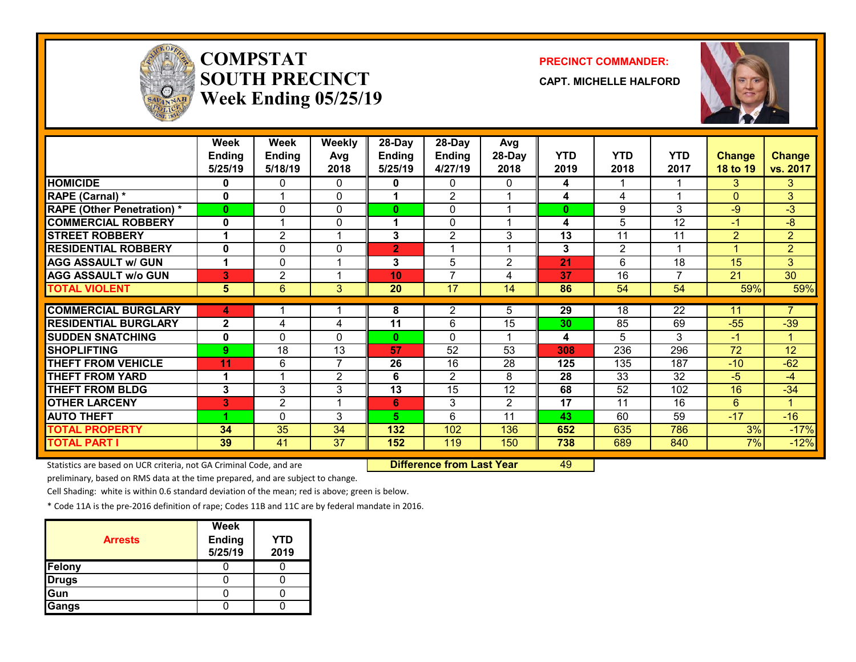

# **COMPSTATSOUTH PRECINCTWeek Ending 05/25/19**

#### **PRECINCT COMMANDER:**

**CAPT. MICHELLE HALFORD**



|                                   | Week<br>Ending<br>5/25/19 | Week<br><b>Ending</b><br>5/18/19 | <b>Weekly</b><br>Avg<br>2018 | 28-Day<br><b>Ending</b><br>5/25/19 | $28$ -Day<br><b>Ending</b><br>4/27/19 | Avg<br>28-Day<br>2018 | <b>YTD</b><br>2019 | <b>YTD</b><br>2018 | <b>YTD</b><br>2017 | <b>Change</b><br><b>18 to 19</b> | <b>Change</b><br>vs. 2017 |
|-----------------------------------|---------------------------|----------------------------------|------------------------------|------------------------------------|---------------------------------------|-----------------------|--------------------|--------------------|--------------------|----------------------------------|---------------------------|
| <b>HOMICIDE</b>                   | 0                         | 0                                | 0                            | 0                                  | $\Omega$                              | 0                     | 4                  |                    |                    | 3                                | 3                         |
| <b>RAPE (Carnal) *</b>            | 0                         | 1                                | $\mathbf{0}$                 |                                    | 2                                     |                       | 4                  | 4                  |                    | $\Omega$                         | 3                         |
| <b>RAPE (Other Penetration) *</b> | $\bf{0}$                  | 0                                | 0                            | $\mathbf{0}$                       | 0                                     |                       | $\mathbf{0}$       | 9                  | 3                  | $-9$                             | $-3$                      |
| <b>COMMERCIAL ROBBERY</b>         | $\mathbf 0$               | 1                                | 0                            | 4                                  | $\mathbf{0}$                          |                       | 4                  | 5                  | 12                 | $-1$                             | -8                        |
| <b>STREET ROBBERY</b>             | 1                         | 2                                | 4                            | 3                                  | $\overline{2}$                        | 3                     | 13                 | 11                 | 11                 | $\overline{2}$                   | $\overline{2}$            |
| <b>RESIDENTIAL ROBBERY</b>        | 0                         | 0                                | $\mathbf{0}$                 | $\overline{2}$                     |                                       |                       | 3                  | $\overline{2}$     |                    |                                  | $\overline{2}$            |
| <b>AGG ASSAULT w/ GUN</b>         | 1                         | 0                                | 1                            | 3                                  | 5                                     | $\overline{2}$        | 21                 | 6                  | 18                 | 15                               | 3                         |
| <b>AGG ASSAULT w/o GUN</b>        | 3                         | $\overline{2}$                   | 1                            | 10                                 | $\overline{7}$                        | 4                     | 37                 | 16                 | $\overline{7}$     | 21                               | $\overline{30}$           |
| <b>TOTAL VIOLENT</b>              | 5                         | 6                                | 3                            | 20                                 | $\overline{17}$                       | 14                    | 86                 | 54                 | 54                 | 59%                              | 59%                       |
|                                   |                           |                                  |                              |                                    |                                       |                       |                    |                    |                    |                                  |                           |
| <b>COMMERCIAL BURGLARY</b>        | 4                         |                                  |                              | 8                                  | 2                                     | 5                     | 29                 | 18                 | $\overline{22}$    | 11                               | $\overline{7}$            |
| <b>RESIDENTIAL BURGLARY</b>       | $\mathbf{2}$              | 4                                | 4                            | 11                                 | 6                                     | 15                    | 30                 | 85                 | 69                 | $-55$                            | $-39$                     |
| <b>SUDDEN SNATCHING</b>           | 0                         | 0                                | $\Omega$                     | $\mathbf{0}$                       | $\Omega$                              |                       | 4                  | 5                  | 3                  | $-1$                             |                           |
| <b>SHOPLIFTING</b>                | 9                         | 18                               | 13                           | 57                                 | 52                                    | 53                    | 308                | 236                | 296                | 72                               | 12                        |
| THEFT FROM VEHICLE                | 11                        | 6                                | $\overline{7}$               | 26                                 | 16                                    | 28                    | 125                | 135                | 187                | $-10$                            | $-62$                     |
| <b>THEFT FROM YARD</b>            | 1                         | 1                                | 2                            | 6                                  | 2                                     | 8                     | 28                 | 33                 | 32                 | $-5$                             | -4                        |
| <b>THEFT FROM BLDG</b>            | 3                         | 3                                | 3                            | 13                                 | 15                                    | 12                    | 68                 | 52                 | 102                | 16                               | $-34$                     |
| <b>OTHER LARCENY</b>              | 3                         | $\overline{2}$                   | 1                            | 6                                  | 3                                     | $\overline{2}$        | 17                 | 11                 | 16                 | 6                                | 1                         |
| <b>AUTO THEFT</b>                 |                           | 0                                | 3                            | 5.                                 | 6                                     | 11                    | 43                 | 60                 | 59                 | $-17$                            | $-16$                     |
| <b>TOTAL PROPERTY</b>             | 34                        | 35                               | 34                           | 132                                | 102                                   | 136                   | 652                | 635                | 786                | 3%                               | $-17%$                    |
| <b>TOTAL PART I</b>               | 39                        | 41                               | 37                           | 152                                | 119                                   | 150                   | 738                | 689                | 840                | 7%                               | $-12%$                    |

Statistics are based on UCR criteria, not GA Criminal Code, and are **Difference from Last Year** 49

preliminary, based on RMS data at the time prepared, and are subject to change.

Cell Shading: white is within 0.6 standard deviation of the mean; red is above; green is below.

| <b>Arrests</b> | <b>Week</b><br><b>Ending</b><br>5/25/19 | YTD<br>2019 |
|----------------|-----------------------------------------|-------------|
| Felony         |                                         |             |
| <b>Drugs</b>   |                                         |             |
| Gun            |                                         |             |
| Gangs          |                                         |             |